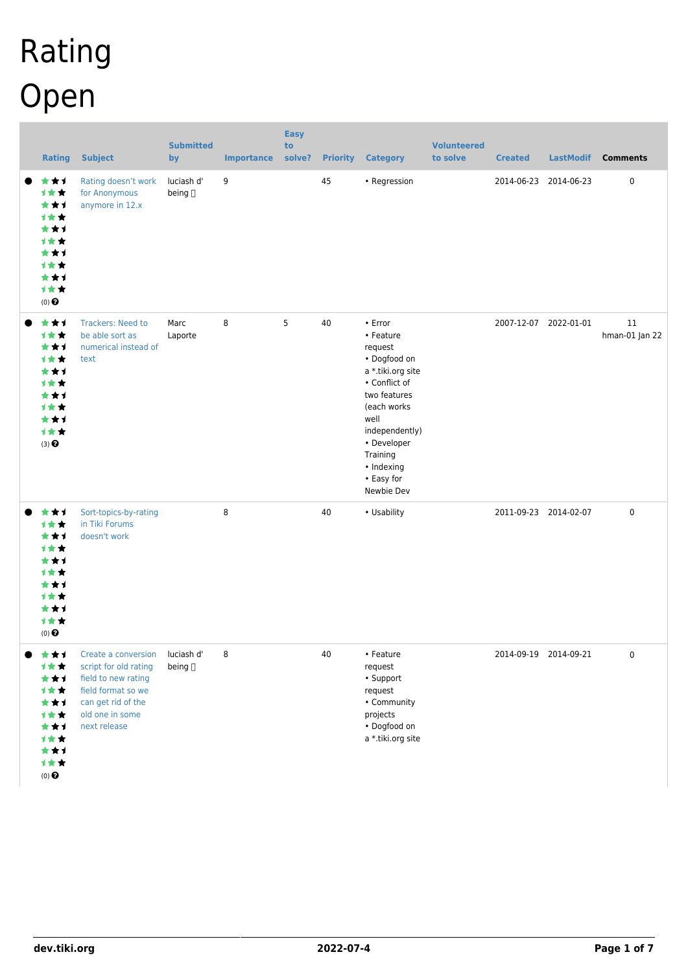# Rating Open

| <b>Rating</b>                                                                                 | <b>Subject</b>                                                                                                                                     | <b>Submitted</b><br>by | <b>Importance solve?</b> | <b>Easy</b><br>to | <b>Priority</b> | <b>Category</b>                                                                                                                                                                                                           | <b>Volunteered</b><br>to solve | <b>Created</b> | <b>LastModif</b>      | <b>Comments</b>      |
|-----------------------------------------------------------------------------------------------|----------------------------------------------------------------------------------------------------------------------------------------------------|------------------------|--------------------------|-------------------|-----------------|---------------------------------------------------------------------------------------------------------------------------------------------------------------------------------------------------------------------------|--------------------------------|----------------|-----------------------|----------------------|
| ***<br>计女女<br>***<br>计女女<br>***<br>计女女<br>***<br>计女女<br>***<br>计女女<br>$(0)$<br>$\pmb{\Theta}$ | Rating doesn't work<br>for Anonymous<br>anymore in 12.x                                                                                            | luciash d'<br>being [] | 9                        |                   | 45              | • Regression                                                                                                                                                                                                              |                                |                | 2014-06-23 2014-06-23 | $\pmb{0}$            |
| ***<br>计女女<br>***<br>计女女<br>***<br>1★★<br>***<br>1★★<br>***<br>计女女<br>(3)                     | <b>Trackers: Need to</b><br>be able sort as<br>numerical instead of<br>text                                                                        | Marc<br>Laporte        | 8                        | 5                 | 40              | $\cdot$ Error<br>• Feature<br>request<br>• Dogfood on<br>a *.tiki.org site<br>• Conflict of<br>two features<br>(each works<br>well<br>independently)<br>• Developer<br>Training<br>• Indexing<br>• Easy for<br>Newbie Dev |                                |                | 2007-12-07 2022-01-01 | 11<br>hman-01 Jan 22 |
| ***<br>计女女<br>***<br>1★★<br>***<br>计女女<br>***<br>计女女<br>***<br>1★★<br>$(0)$ $\bigodot$        | Sort-topics-by-rating<br>in Tiki Forums<br>doesn't work                                                                                            |                        | 8                        |                   | 40              | • Usability                                                                                                                                                                                                               |                                |                | 2011-09-23 2014-02-07 | $\pmb{0}$            |
| ***<br>计女女<br>***<br>1★★<br>***<br>1★★<br>***<br>1★★<br>***<br>1★★<br>$(0)$<br>$\pmb{\Theta}$ | Create a conversion<br>script for old rating<br>field to new rating<br>field format so we<br>can get rid of the<br>old one in some<br>next release | luciash d'<br>being [] | 8                        |                   | 40              | • Feature<br>request<br>• Support<br>request<br>• Community<br>projects<br>• Dogfood on<br>a *.tiki.org site                                                                                                              |                                |                | 2014-09-19 2014-09-21 | $\pmb{0}$            |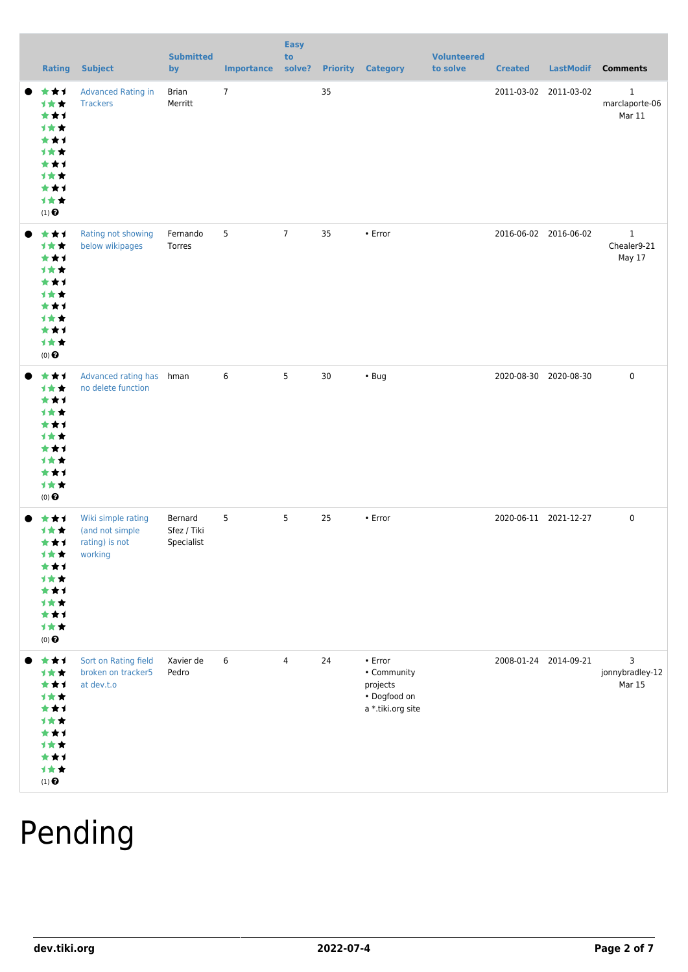|                                       | <b>Rating</b>                                                             | <b>Subject</b>                                                     | <b>Submitted</b><br>by               | <b>Importance solve?</b> | <b>Easy</b><br>to |    | <b>Priority Category</b>                                                      | <b>Volunteered</b><br>to solve | <b>Created</b>        | <b>LastModif</b>      | <b>Comments</b>                          |
|---------------------------------------|---------------------------------------------------------------------------|--------------------------------------------------------------------|--------------------------------------|--------------------------|-------------------|----|-------------------------------------------------------------------------------|--------------------------------|-----------------------|-----------------------|------------------------------------------|
| $(1)$<br>$\pmb{\Theta}$               | ***<br>1★★<br>***<br>1★★<br>***<br>1★★<br>***<br>1★★<br>***<br>1★★        | <b>Advanced Rating in</b><br><b>Trackers</b>                       | Brian<br>Merritt                     | $7\phantom{.}$           |                   | 35 |                                                                               |                                |                       | 2011-03-02 2011-03-02 | $\mathbf{1}$<br>marclaporte-06<br>Mar 11 |
| $(0)$ $\Theta$                        | ***<br>计女女<br>***<br>1★★<br>***<br>计女女<br>***<br>计女女<br>***<br>1★★        | Rating not showing<br>below wikipages                              | Fernando<br>Torres                   | 5                        | $7\overline{ }$   | 35 | • Error                                                                       |                                |                       | 2016-06-02 2016-06-02 | $\mathbf{1}$<br>Chealer9-21<br>May 17    |
| $(0)$<br>$\pmb{\Theta}$               | ***<br>***<br>***<br>1★★<br>***<br>计女女<br>***<br>1★★<br>***<br>计女女        | Advanced rating has hman<br>no delete function                     |                                      | 6                        | 5                 | 30 | $\cdot$ Bug                                                                   |                                |                       | 2020-08-30 2020-08-30 | $\pmb{0}$                                |
| <b>1**</b><br>$(0)$ $\bigodot$        | ***<br>计女女<br>***<br>计女女<br>★★1<br><b>1 * *</b><br>* * 1<br>***<br>计女女    | Wiki simple rating<br>(and not simple<br>rating) is not<br>working | Bernard<br>Sfez / Tiki<br>Specialist | 5                        | $5\phantom{.0}$   | 25 | • Error                                                                       |                                | 2020-06-11 2021-12-27 |                       | $\pmb{0}$                                |
| <b>1**</b><br>$(1)$<br>$\pmb{\Theta}$ | ***<br>***<br>***<br><b>1**</b><br>***<br>***<br><b>1**</b><br>★★↑<br>计女女 | Sort on Rating field<br>broken on tracker5<br>at dev.t.o           | Xavier de<br>Pedro                   | 6                        | $\overline{4}$    | 24 | $\cdot$ Error<br>• Community<br>projects<br>• Dogfood on<br>a *.tiki.org site |                                |                       | 2008-01-24 2014-09-21 | 3<br>jonnybradley-12<br>Mar 15           |

## Pending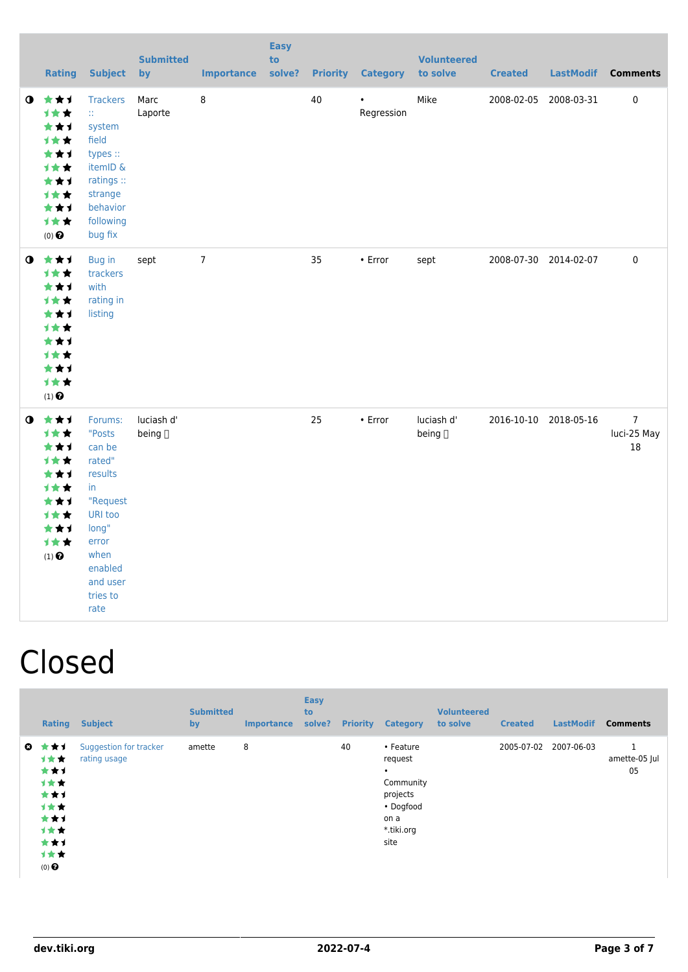|           | <b>Rating</b>                                                                                                  | <b>Subject</b>                                                                                                                                     | <b>Submitted</b><br>by | <b>Importance</b> | <b>Easy</b><br>to<br>solve? |    | <b>Priority Category</b> | <b>Volunteered</b><br>to solve | <b>Created</b> |                       | LastModif Comments                      |
|-----------|----------------------------------------------------------------------------------------------------------------|----------------------------------------------------------------------------------------------------------------------------------------------------|------------------------|-------------------|-----------------------------|----|--------------------------|--------------------------------|----------------|-----------------------|-----------------------------------------|
|           | $0$ $\star$ $\star$ $1$<br>1★★<br>***<br><b>1**</b><br>★★1<br>1★★<br>***<br>计女女<br>***<br>计女女<br>$(0)$ $\odot$ | <b>Trackers</b><br>W.<br>system<br>field<br>types ::<br>itemID &<br>ratings ::<br>strange<br>behavior<br>following<br>bug fix                      | Marc<br>Laporte        | 8                 |                             | 40 | $\bullet$<br>Regression  | Mike                           |                | 2008-02-05 2008-03-31 | $\pmb{0}$                               |
| $\bullet$ | 大女子<br>计女女<br>***<br>1★★<br>***<br>计女女<br>***<br>1★★<br>***<br>1★★<br>$(1)$<br>$\pmb{\Theta}$                  | Bug in<br>trackers<br>with<br>rating in<br>listing                                                                                                 | sept                   | $\overline{7}$    |                             | 35 | • Error                  | sept                           |                | 2008-07-30 2014-02-07 | $\pmb{0}$                               |
| $\bullet$ | ***<br><b>1**</b><br>***<br><b>1**</b><br>***<br>计女女<br>***<br><b>1**</b><br>***<br>1★★<br>$(1)$ $\odot$       | Forums:<br>"Posts<br>can be<br>rated"<br>results<br>in<br>"Request<br>URI too<br>long"<br>error<br>when<br>enabled<br>and user<br>tries to<br>rate | luciash d'<br>being [] |                   |                             | 25 | • Error                  | luciash d'<br>being []         |                | 2016-10-10 2018-05-16 | $\overline{7}$<br>luci-25 May<br>$18\,$ |

### Closed

|              | Rating                                                                                | <b>Subject</b>                         | <b>Submitted</b><br>by | <b>Importance</b> | <b>Easy</b><br>to<br>solve? | <b>Priority</b> | <b>Category</b>                                                                                       | <b>Volunteered</b><br>to solve | <b>Created</b> | <b>LastModif</b> | <b>Comments</b>          |
|--------------|---------------------------------------------------------------------------------------|----------------------------------------|------------------------|-------------------|-----------------------------|-----------------|-------------------------------------------------------------------------------------------------------|--------------------------------|----------------|------------------|--------------------------|
| $\mathbf{O}$ | * * 1<br>计女女<br>***<br>计女女<br>***<br>计女女<br>***<br>计女女<br>***<br>计女女<br>$(0)$ $\odot$ | Suggestion for tracker<br>rating usage | amette                 | 8                 |                             | 40              | • Feature<br>request<br>$\bullet$<br>Community<br>projects<br>• Dogfood<br>on a<br>*.tiki.org<br>site |                                | 2005-07-02     | 2007-06-03       | 1<br>amette-05 Jul<br>05 |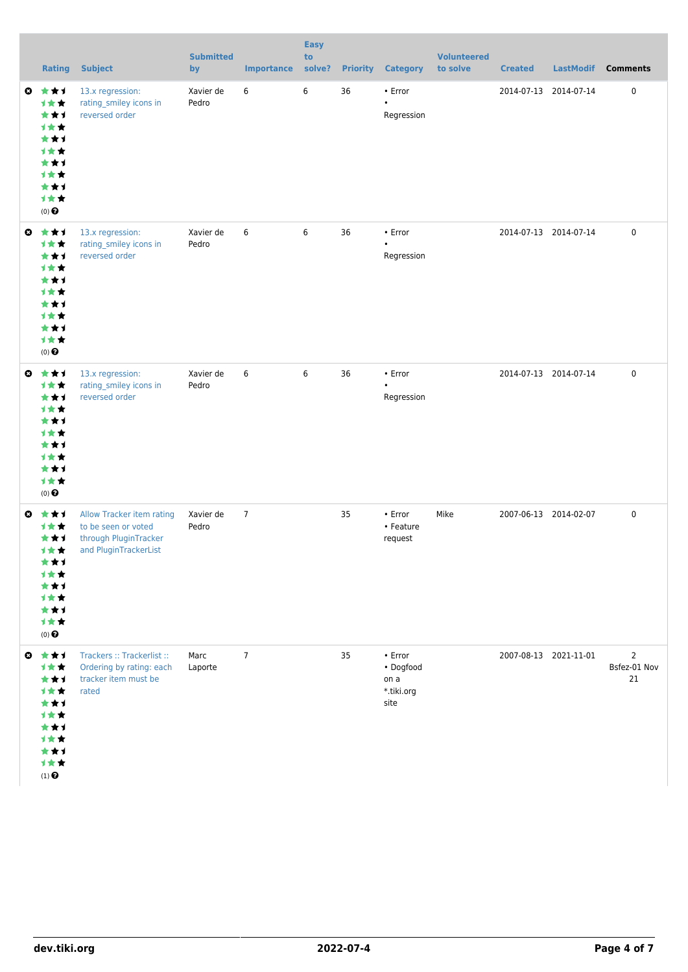|           | <b>Rating</b>                                                                                                            | <b>Subject</b>                                                                                     | <b>Submitted</b><br>by | <b>Importance</b> | <b>Easy</b><br>to<br>solve? | <b>Priority</b> | <b>Category</b>                                          | <b>Volunteered</b><br>to solve | <b>Created</b> | <b>LastModif</b>      | <b>Comments</b>                      |
|-----------|--------------------------------------------------------------------------------------------------------------------------|----------------------------------------------------------------------------------------------------|------------------------|-------------------|-----------------------------|-----------------|----------------------------------------------------------|--------------------------------|----------------|-----------------------|--------------------------------------|
| $\bullet$ | 大女子<br>计女女<br>***<br><b>1**</b><br>***<br><b>1**</b><br>***<br><b>1**</b><br>***<br>1★★<br>$(0)$ $\bigodot$              | 13.x regression:<br>rating_smiley icons in<br>reversed order                                       | Xavier de<br>Pedro     | 6                 | 6                           | 36              | • Error<br>$\bullet$<br>Regression                       |                                |                | 2014-07-13 2014-07-14 | 0                                    |
|           | ◎ ★★1<br>计女女<br>***<br>计女女<br>***<br>计女女<br>***<br>计女女<br>***<br>1★★<br>$(0)$ $\odot$                                    | 13.x regression:<br>rating_smiley icons in<br>reversed order                                       | Xavier de<br>Pedro     | 6                 | 6                           | 36              | • Error<br>$\bullet$<br>Regression                       |                                |                | 2014-07-13 2014-07-14 | 0                                    |
| ◎         | 食食す<br>计女女<br>***<br>计女女<br>***<br>才女女<br>***<br>计女女<br>***<br>计女女<br>$(0)$ $\odot$                                      | 13.x regression:<br>rating_smiley icons in<br>reversed order                                       | Xavier de<br>Pedro     | 6                 | 6                           | 36              | • Error<br>$\bullet$<br>Regression                       |                                |                | 2014-07-13 2014-07-14 | 0                                    |
| O         | ***<br>1★★<br>***<br><b>1**</b><br>***<br>11<br>***<br><b>1**</b><br>***<br>计女女<br>$(0)$ $\pmb{\Theta}$                  | Allow Tracker item rating<br>to be seen or voted<br>through PluginTracker<br>and PluginTrackerList | Xavier de<br>Pedro     | $\overline{7}$    |                             | 35              | $\cdot$ Error<br>• Feature<br>request                    | Mike                           |                | 2007-06-13 2014-02-07 | 0                                    |
|           | $0$ $\star$ $\star$ $1$<br>计女女<br>***<br>***<br>***<br><b>1**</b><br>***<br>计女女<br>***<br>1★★<br>$(1)$<br>$\pmb{\Theta}$ | Trackers :: Trackerlist ::<br>Ordering by rating: each<br>tracker item must be<br>rated            | Marc<br>Laporte        | $\overline{7}$    |                             | 35              | $\cdot$ Error<br>• Dogfood<br>on a<br>*.tiki.org<br>site |                                |                | 2007-08-13 2021-11-01 | $\overline{2}$<br>Bsfez-01 Nov<br>21 |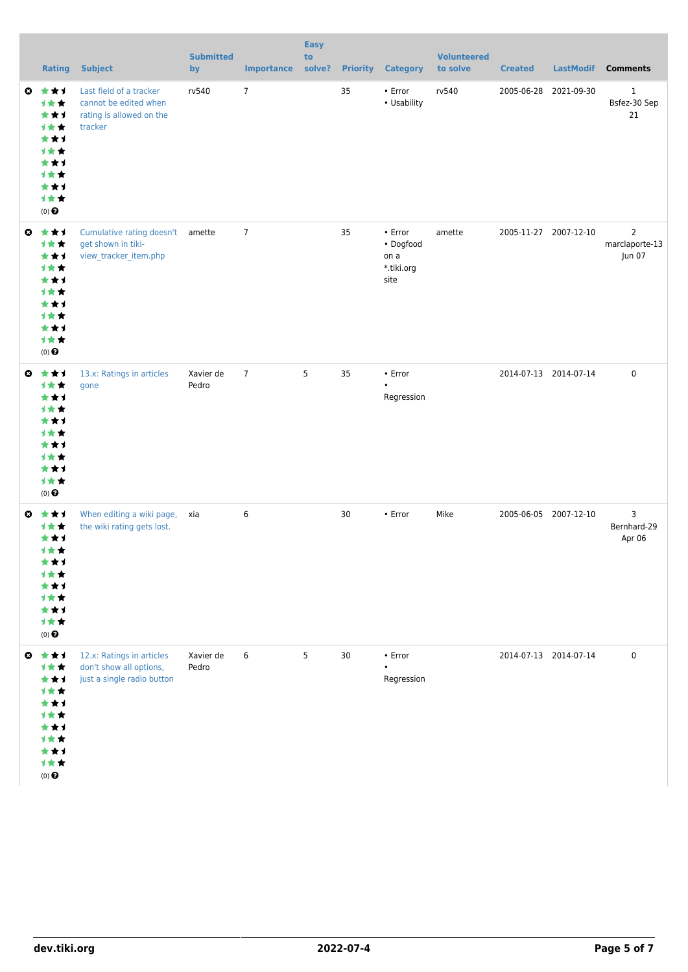|           | <b>Rating</b>                                                                                                 | <b>Subject</b>                                                                          | <b>Submitted</b><br>by | <b>Importance</b> | <b>Easy</b><br>to<br>solve? |    | <b>Priority Category</b>                           | <b>Volunteered</b><br>to solve | <b>Created</b>        | <b>LastModif</b>      | <b>Comments</b>                            |
|-----------|---------------------------------------------------------------------------------------------------------------|-----------------------------------------------------------------------------------------|------------------------|-------------------|-----------------------------|----|----------------------------------------------------|--------------------------------|-----------------------|-----------------------|--------------------------------------------|
| O         | ***<br>1★★<br>***<br><b>1★★</b><br>***<br>计女女<br>***<br>计女女<br>***<br>1★★<br>$(0)$ $\odot$                    | Last field of a tracker<br>cannot be edited when<br>rating is allowed on the<br>tracker | rv540                  | $\overline{7}$    |                             | 35 | • Error<br>• Usability                             | rv540                          |                       | 2005-06-28 2021-09-30 | $\mathbf{1}$<br>Bsfez-30 Sep<br>21         |
|           | $0 \star \star \star$<br>1★★<br>***<br>1★★<br>***<br><b>1★★</b><br>***<br>计女女<br>***<br>1★★<br>$(0)$ $\Theta$ | Cumulative rating doesn't<br>get shown in tiki-<br>view_tracker_item.php                | amette                 | $\overline{7}$    |                             | 35 | • Error<br>• Dogfood<br>on a<br>*.tiki.org<br>site | amette                         | 2005-11-27 2007-12-10 |                       | $\overline{2}$<br>marclaporte-13<br>Jun 07 |
| $\bullet$ | ***<br>计女女<br>***<br>计女女<br>***<br><b>1**</b><br>***<br>计女女<br>***<br>1★★<br>$(0)$ $\Theta$                   | 13.x: Ratings in articles<br>gone                                                       | Xavier de<br>Pedro     | $\overline{7}$    | 5                           | 35 | • Error<br>$\bullet$<br>Regression                 |                                | 2014-07-13 2014-07-14 |                       | 0                                          |
| O         | ***<br>1**<br>***<br>计女女<br>***<br><b>1**</b><br>***<br>计女女<br>***<br>计女女<br>$(0)$ $\Theta$                   | When editing a wiki page,<br>the wiki rating gets lost.                                 | xia                    | 6                 |                             | 30 | • Error                                            | Mike                           | 2005-06-05 2007-12-10 |                       | 3<br>Bernhard-29<br>Apr 06                 |
|           | $0$ $\star$ $\star$ $1$<br>1★★<br>***<br>1★★<br>***<br>计女女<br>***<br>计女女<br>***<br>计女女<br>$(0)$ $\bigodot$    | 12.x: Ratings in articles<br>don't show all options,<br>just a single radio button      | Xavier de<br>Pedro     | 6                 | 5                           | 30 | • Error<br>$\bullet$<br>Regression                 |                                | 2014-07-13 2014-07-14 |                       | 0                                          |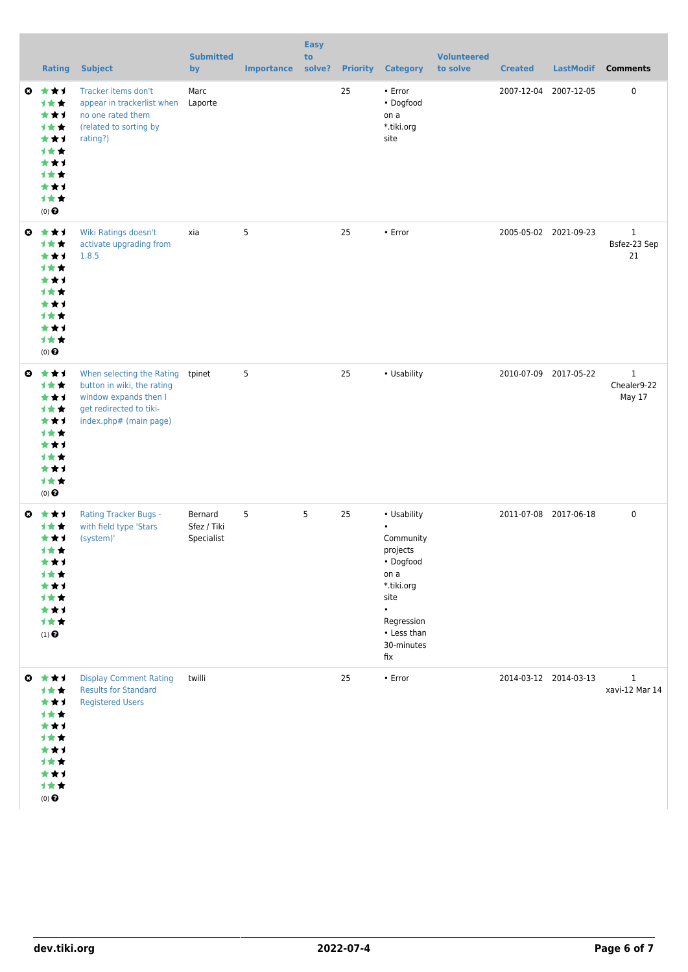|           | <b>Rating</b>                                                                                                                         | <b>Subject</b>                                                                                                                        | <b>Submitted</b><br>by               | <b>Importance</b> | <b>Easy</b><br>to<br>solve? | <b>Priority</b> | <b>Category</b>                                                                                                                                             | <b>Volunteered</b><br>to solve | <b>Created</b> | <b>LastModif</b>      | <b>Comments</b>                       |
|-----------|---------------------------------------------------------------------------------------------------------------------------------------|---------------------------------------------------------------------------------------------------------------------------------------|--------------------------------------|-------------------|-----------------------------|-----------------|-------------------------------------------------------------------------------------------------------------------------------------------------------------|--------------------------------|----------------|-----------------------|---------------------------------------|
| O         | ***<br>1★★<br>***<br>计女女<br>***<br><b>1**</b><br>***<br><b>1**</b><br>***<br>1★★<br>$(0)$ $\odot$                                     | Tracker items don't<br>appear in trackerlist when<br>no one rated them<br>(related to sorting by<br>rating?)                          | Marc<br>Laporte                      |                   |                             | 25              | • Error<br>• Dogfood<br>on a<br>*.tiki.org<br>site                                                                                                          |                                |                | 2007-12-04 2007-12-05 | 0                                     |
|           | $0 \star \star 1$<br>1★★<br>***<br><b>1**</b><br>***<br><b>1**</b><br>***<br>***<br>***<br>1★★<br>$(0)$ <sup><math>\odot</math></sup> | Wiki Ratings doesn't<br>activate upgrading from<br>1.8.5                                                                              | xia                                  | 5                 |                             | 25              | • Error                                                                                                                                                     |                                |                | 2005-05-02 2021-09-23 | $\mathbf{1}$<br>Bsfez-23 Sep<br>21    |
| $\bullet$ | ***<br>1★★<br>***<br>计女女<br>***<br><b>1**</b><br>***<br>计女女<br>***<br>1★★<br>$(0)$ $\odot$                                            | When selecting the Rating<br>button in wiki, the rating<br>window expands then I<br>get redirected to tiki-<br>index.php# (main page) | tpinet                               | 5                 |                             | 25              | • Usability                                                                                                                                                 |                                |                | 2010-07-09 2017-05-22 | $\mathbf{1}$<br>Chealer9-22<br>May 17 |
| ◒         | 大女子<br><b>1**</b><br>***<br><b>1**</b><br>★★1<br>18<br>***<br><b>1**</b><br>***<br>计女女<br>$(1)$ $\odot$                               | <b>Rating Tracker Bugs -</b><br>with field type 'Stars<br>(system)'                                                                   | Bernard<br>Sfez / Tiki<br>Specialist | 5                 | 5                           | 25              | • Usability<br>$\bullet$<br>Community<br>projects<br>• Dogfood<br>on a<br>*.tiki.org<br>site<br>$\bullet$<br>Regression<br>• Less than<br>30-minutes<br>fix |                                |                | 2011-07-08 2017-06-18 | 0                                     |
|           | $0$ $\star\star\star$<br>1★★<br>***<br>1★★<br>***<br>1★★<br>***<br>计女女<br>***<br>计女女<br>$(0)$ $\odot$                                 | <b>Display Comment Rating</b><br><b>Results for Standard</b><br><b>Registered Users</b>                                               | twilli                               |                   |                             | 25              | • Error                                                                                                                                                     |                                |                | 2014-03-12 2014-03-13 | $\mathbf{1}$<br>xavi-12 Mar 14        |